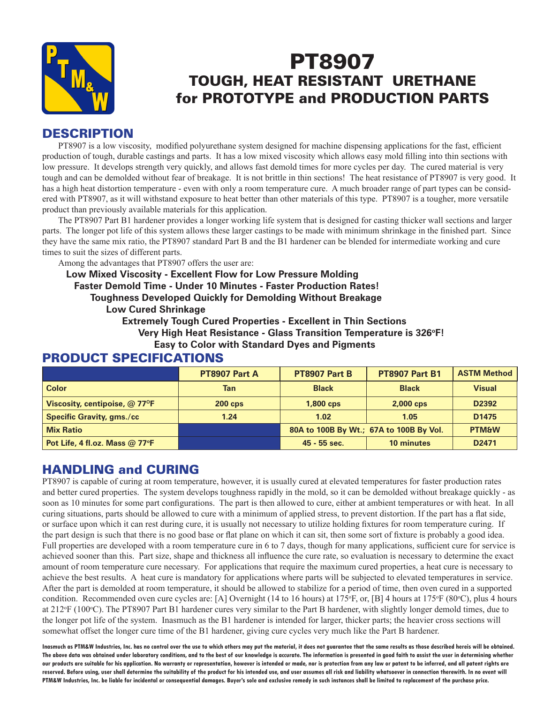

# PT8907 TOUGH, HEAT RESISTANT URETHANE for PROTOTYPE and PRODUCTION PARTS

#### **DESCRIPTION**

 PT8907 is a low viscosity, modified polyurethane system designed for machine dispensing applications for the fast, efficient production of tough, durable castings and parts. It has a low mixed viscosity which allows easy mold filling into thin sections with low pressure. It develops strength very quickly, and allows fast demold times for more cycles per day. The cured material is very tough and can be demolded without fear of breakage. It is not brittle in thin sections! The heat resistance of PT8907 is very good. It has a high heat distortion temperature - even with only a room temperature cure. A much broader range of part types can be considered with PT8907, as it will withstand exposure to heat better than other materials of this type. PT8907 is a tougher, more versatile product than previously available materials for this application.

 The PT8907 Part B1 hardener provides a longer working life system that is designed for casting thicker wall sections and larger parts. The longer pot life of this system allows these larger castings to be made with minimum shrinkage in the finished part. Since they have the same mix ratio, the PT8907 standard Part B and the B1 hardener can be blended for intermediate working and cure times to suit the sizes of different parts.

 Among the advantages that PT8907 offers the user are:

**Low Mixed Viscosity - Excellent Flow for Low Pressure Molding Faster Demold Time - Under 10 Minutes - Faster Production Rates! Toughness Developed Quickly for Demolding Without Breakage Low Cured Shrinkage Extremely Tough Cured Properties - Excellent in Thin Sections**

**Very High Heat Resistance - Glass Transition Temperature is 326°F! Easy to Color with Standard Dyes and Pigments**

## PRODUCT SPECIFICATIONS

|                                  | PT8907 Part A | <b>PT8907 Part B</b>                    | <b>PT8907 Part B1</b> | <b>ASTM Method</b> |  |
|----------------------------------|---------------|-----------------------------------------|-----------------------|--------------------|--|
| <b>Color</b>                     | Tan           | <b>Black</b>                            | <b>Black</b>          | <b>Visual</b>      |  |
| Viscosity, centipoise, @ 77°F    | $200$ cps     | $1,800$ cps                             | 2,000 cps             | D <sub>2392</sub>  |  |
| <b>Specific Gravity, gms./cc</b> | 1.24          | 1.02                                    | 1.05                  | D <sub>1475</sub>  |  |
| <b>Mix Ratio</b>                 |               | 80A to 100B By Wt.; 67A to 100B By Vol. | <b>PTM&amp;W</b>      |                    |  |
| Pot Life, 4 fl.oz. Mass $@$ 77°F |               | $45 - 55$ sec.                          | 10 minutes            | D <sub>2471</sub>  |  |

## HANDLING and CURING

PT8907 is capable of curing at room temperature, however, it is usually cured at elevated temperatures for faster production rates and better cured properties. The system develops toughness rapidly in the mold, so it can be demolded without breakage quickly - as soon as 10 minutes for some part configurations. The part is then allowed to cure, either at ambient temperatures or with heat. In all curing situations, parts should be allowed to cure with a minimum of applied stress, to prevent distortion. If the part has a flat side, or surface upon which it can rest during cure, it is usually not necessary to utilize holding fixtures for room temperature curing. If the part design is such that there is no good base or flat plane on which it can sit, then some sort of fixture is probably a good idea. Full properties are developed with a room temperature cure in 6 to 7 days, though for many applications, sufficient cure for service is achieved sooner than this. Part size, shape and thickness all influence the cure rate, so evaluation is necessary to determine the exact amount of room temperature cure necessary. For applications that require the maximum cured properties, a heat cure is necessary to achieve the best results. A heat cure is mandatory for applications where parts will be subjected to elevated temperatures in service. After the part is demolded at room temperature, it should be allowed to stabilize for a period of time, then oven cured in a supported condition. Recommended oven cure cycles are: [A] Overnight (14 to 16 hours) at 175°F, or, [B] 4 hours at 175°F (80°C), plus 4 hours at 212°F (100°C). The PT8907 Part B1 hardener cures very similar to the Part B hardener, with slightly longer demold times, due to the longer pot life of the system. Inasmuch as the B1 hardener is intended for larger, thicker parts; the heavier cross sections will somewhat offset the longer cure time of the B1 hardener, giving cure cycles very much like the Part B hardener.

**Inasmuch as PTM&W Industries, Inc. has no control over the use to which others may put the material, it does not guarantee that the same results as those described hereis will be obtained.**  The above data was obtained under laboratory conditions, and to the best of our knowledge is accurate. The information is presented in good faith to assist the user in determining whether **our products are suitable for his application. No warranty or representation, however is intended or made, nor is protection from any law or patent to be inferred, and all patent rights are**  reserved. Before using, user shall determine the suitability of the product for his intended use, and user assumes all risk and liability whatsoever in connection therewith. In no event will **PTM&W Industries, Inc. be liable for incidental or consequential damages. Buyer's sole and exclusive remedy in such instances shall be limited to replacement of the purchase price.**